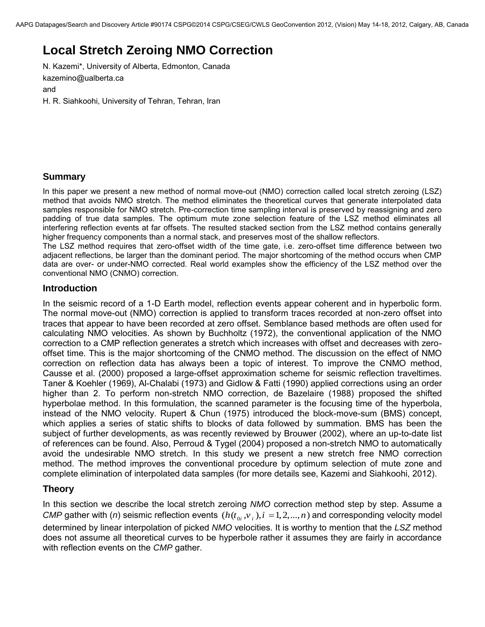# **Local Stretch Zeroing NMO Correction**

N. Kazemi\*, University of Alberta, Edmonton, Canada [kazemino@ualberta.ca](mailto:kazemino@ualberta.ca) and H. R. Siahkoohi, University of Tehran, Tehran, Iran

#### **Summary**

In this paper we present a new method of normal move-out (NMO) correction called local stretch zeroing (LSZ) method that avoids NMO stretch. The method eliminates the theoretical curves that generate interpolated data samples responsible for NMO stretch. Pre-correction time sampling interval is preserved by reassigning and zero padding of true data samples. The optimum mute zone selection feature of the LSZ method eliminates all interfering reflection events at far offsets. The resulted stacked section from the LSZ method contains generally higher frequency components than a normal stack, and preserves most of the shallow reflectors.

The LSZ method requires that zero-offset width of the time gate, i.e. zero-offset time difference between two adjacent reflections, be larger than the dominant period. The major shortcoming of the method occurs when CMP data are over- or under-NMO corrected. Real world examples show the efficiency of the LSZ method over the conventional NMO (CNMO) correction.

#### **Introduction**

In the seismic record of a 1-D Earth model, reflection events appear coherent and in hyperbolic form. The normal move-out (NMO) correction is applied to transform traces recorded at non-zero offset into traces that appear to have been recorded at zero offset. Semblance based methods are often used for calculating NMO velocities. As shown by Buchholtz (1972), the conventional application of the NMO correction to a CMP reflection generates a stretch which increases with offset and decreases with zerooffset time. This is the major shortcoming of the CNMO method. The discussion on the effect of NMO correction on reflection data has always been a topic of interest. To improve the CNMO method, Causse et al. (2000) proposed a large-offset approximation scheme for seismic reflection traveltimes. Taner & Koehler (1969), Al-Chalabi (1973) and Gidlow & Fatti (1990) applied corrections using an order higher than 2. To perform non-stretch NMO correction, de Bazelaire (1988) proposed the shifted hyperbolae method. In this formulation, the scanned parameter is the focusing time of the hyperbola, instead of the NMO velocity. Rupert & Chun (1975) introduced the block-move-sum (BMS) concept, which applies a series of static shifts to blocks of data followed by summation. BMS has been the subject of further developments, as was recently reviewed by Brouwer (2002), where an up-to-date list of references can be found. Also, Perroud & Tygel (2004) proposed a non-stretch NMO to automatically avoid the undesirable NMO stretch. In this study we present a new stretch free NMO correction method. The method improves the conventional procedure by optimum selection of mute zone and complete elimination of interpolated data samples (for more details see, Kazemi and Siahkoohi, 2012).

### **Theory**

In this section we describe the local stretch zeroing *NMO* correction method step by step. Assume a *CMP* gather with (*n*) seismic reflection events  $(h(t_{0i}, v_i), i = 1, 2, ..., n)$  and corresponding velocity model determined by linear interpolation of picked *NMO* velocities. It is worthy to mention that the *LSZ* method does not assume all theoretical curves to be hyperbole rather it assumes they are fairly in accordance with reflection events on the *CMP* gather.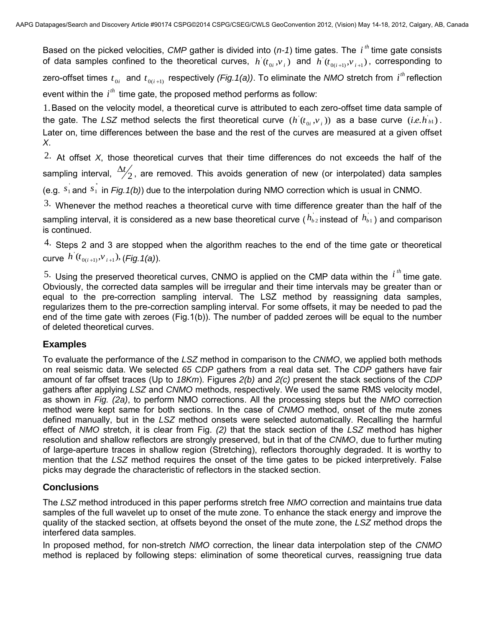Based on the picked velocities, *CMP* gather is divided into  $(n-1)$  time gates. The  $i<sup>th</sup>$  time gate consists of data samples confined to the theoretical curves,  $h^i(t_{0i},v_i)$  and  $h^i(t_{0(i+1)},v_{i+1})$ , corresponding to zero-offset times  $t_{0i}$  and  $t_{0(i+1)}$  respectively *(Fig.1(a))*. To eliminate the *NMO* stretch from  $i^{th}$  reflection event within the  $i^{th}$  time gate, the proposed method performs as follow:

.1 Based on the velocity model, a theoretical curve is attributed to each zero-offset time data sample of the gate. The LSZ method selects the first theoretical curve  $(h(t_{0i}, v_i))$  as a base curve  $(i.e. h_{b1})$ . Later on, time differences between the base and the rest of the curves are measured at a given offset *X*.

2. At offset  $X$ , those theoretical curves that their time differences do not exceeds the half of the sampling interval,  $\frac{\Delta y}{2}$  $\Delta t/2$ , are removed. This avoids generation of new (or interpolated) data samples (e.g.  $s_1$  and  $s_1$ <sup>'</sup> in *Fig.1(b)*) due to the interpolation during NMO correction which is usual in CNMO.

 $3.$  Whenever the method reaches a theoretical curve with time difference greater than the half of the sampling interval, it is considered as a new base theoretical curve ( $h_{b2}$  instead of  $h_{b1}$ ) and comparison is continued.

 $4.$  Steps 2 and 3 are stopped when the algorithm reaches to the end of the time gate or theoretical curve  $h^{\cdot}(t_{0(i+1)}, v_{i+1}),$  (*Fig.1(a)*).

<sup>5.</sup> Using the preserved theoretical curves, CNMO is applied on the CMP data within the  $i^{th}$  time gate. Obviously, the corrected data samples will be irregular and their time intervals may be greater than or equal to the pre-correction sampling interval. The LSZ method by reassigning data samples, regularizes them to the pre-correction sampling interval. For some offsets, it may be needed to pad the end of the time gate with zeroes (Fig.1(b)). The number of padded zeroes will be equal to the number of deleted theoretical curves.

### **Examples**

To evaluate the performance of the *LSZ* method in comparison to the *CNMO*, we applied both methods on real seismic data. We selected *65 CDP* gathers from a real data set. The *CDP* gathers have fair amount of far offset traces (Up to *18Km*). Figures *2(b)* and *2(c)* present the stack sections of the *CDP* gathers after applying *LSZ* and *CNMO* methods, respectively. We used the same RMS velocity model, as shown in *Fig. (2a)*, to perform NMO corrections. All the processing steps but the *NMO* correction method were kept same for both sections. In the case of *CNMO* method, onset of the mute zones defined manually, but in the *LSZ* method onsets were selected automatically. Recalling the harmful effect of *NMO* stretch, it is clear from Fig. *(2)* that the stack section of the *LSZ* method has higher resolution and shallow reflectors are strongly preserved, but in that of the *CNMO*, due to further muting of large-aperture traces in shallow region (Stretching), reflectors thoroughly degraded. It is worthy to mention that the *LSZ* method requires the onset of the time gates to be picked interpretively. False picks may degrade the characteristic of reflectors in the stacked section.

## **Conclusions**

The *LSZ* method introduced in this paper performs stretch free *NMO* correction and maintains true data samples of the full wavelet up to onset of the mute zone. To enhance the stack energy and improve the quality of the stacked section, at offsets beyond the onset of the mute zone, the *LSZ* method drops the interfered data samples.

In proposed method, for non-stretch *NMO* correction, the linear data interpolation step of the *CNMO* method is replaced by following steps: elimination of some theoretical curves, reassigning true data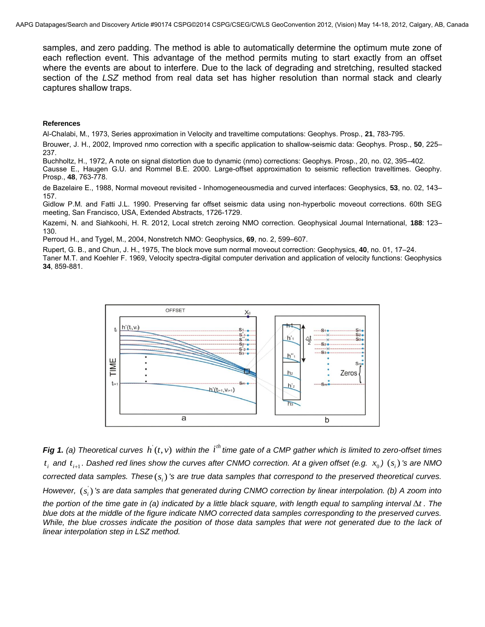samples, and zero padding. The method is able to automatically determine the optimum mute zone of each reflection event. This advantage of the method permits muting to start exactly from an offset where the events are about to interfere. Due to the lack of degrading and stretching, resulted stacked section of the *LSZ* method from real data set has higher resolution than normal stack and clearly captures shallow traps.

#### **References**

Al-Chalabi, M., 1973, Series approximation in Velocity and traveltime computations: Geophys. Prosp., **21**, 783-795.

Brouwer, J. H., 2002, Improved nmo correction with a specific application to shallow-seismic data: Geophys. Prosp., **50**, 225– 237.

Buchholtz, H., 1972, A note on signal distortion due to dynamic (nmo) corrections: Geophys. Prosp., 20, no. 02, 395–402.

Causse E., Haugen G.U. and Rommel B.E. 2000. Large-offset approximation to seismic reflection traveltimes. Geophy. Prosp., **48**, 763-778.

de Bazelaire E., 1988, Normal moveout revisited - Inhomogeneousmedia and curved interfaces: Geophysics, **53**, no. 02, 143– 157.

Gidlow P.M. and Fatti J.L. 1990. Preserving far offset seismic data using non-hyperbolic moveout corrections. 60th SEG meeting, San Francisco, USA, Extended Abstracts, 1726-1729.

Kazemi, N. and Siahkoohi, H. R. 2012, Local stretch zeroing NMO correction. Geophysical Journal International, **188**: 123– 130.

Perroud H., and Tygel, M., 2004, Nonstretch NMO: Geophysics, **69**, no. 2, 599–607.

Rupert, G. B., and Chun, J. H., 1975, The block move sum normal moveout correction: Geophysics, **40**, no. 01, 17–24. Taner M.T. and Koehler F. 1969, Velocity spectra-digital computer derivation and application of velocity functions: Geophysics **34**, 859-881.



**Fig 1.** (a) Theoretical curves  $h(t, v)$  within the  $i<sup>th</sup>$  time gate of a CMP gather which is limited to zero-offset times  $t_i$  and  $t_{i+1}$ . Dashed red lines show the curves after CNMO correction. At a given offset (e.g.  $x_0$  )  $(s_i)$  's are NMO  $correted$  data samples. These $(s_i)$  's are true data samples that correspond to the preserved theoretical curves. However,  $(s_i)$  's are data samples that generated during CNMO correction by linear interpolation. (b) A zoom into the portion of the time gate in (a) indicated by a little black square, with length equal to sampling interval  $\Delta t$ . The blue dots at the middle of the figure indicate NMO corrected data samples corresponding to the preserved curves. *While, the blue crosses indicate the position of those data samples that were not generated due to the lack of linear interpolation step in LSZ method.*